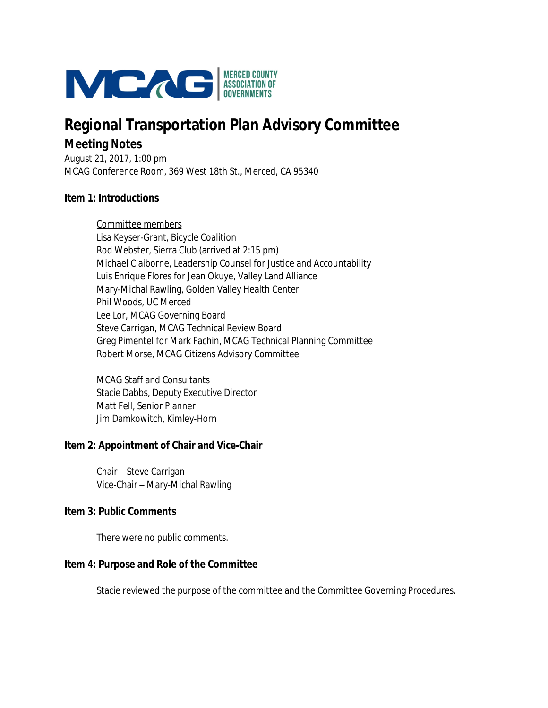

# **Regional Transportation Plan Advisory Committee Meeting Notes**

August 21, 2017, 1:00 pm MCAG Conference Room, 369 West 18th St., Merced, CA 95340

## **Item 1: Introductions**

Committee members Lisa Keyser-Grant, Bicycle Coalition Rod Webster, Sierra Club (arrived at 2:15 pm) Michael Claiborne, Leadership Counsel for Justice and Accountability Luis Enrique Flores for Jean Okuye, Valley Land Alliance Mary-Michal Rawling, Golden Valley Health Center Phil Woods, UC Merced Lee Lor, MCAG Governing Board Steve Carrigan, MCAG Technical Review Board Greg Pimentel for Mark Fachin, MCAG Technical Planning Committee Robert Morse, MCAG Citizens Advisory Committee

MCAG Staff and Consultants Stacie Dabbs, Deputy Executive Director Matt Fell, Senior Planner Jim Damkowitch, Kimley-Horn

### **Item 2: Appointment of Chair and Vice-Chair**

Chair – Steve Carrigan Vice-Chair – Mary-Michal Rawling

### **Item 3: Public Comments**

There were no public comments.

# **Item 4: Purpose and Role of the Committee**

Stacie reviewed the purpose of the committee and the Committee Governing Procedures.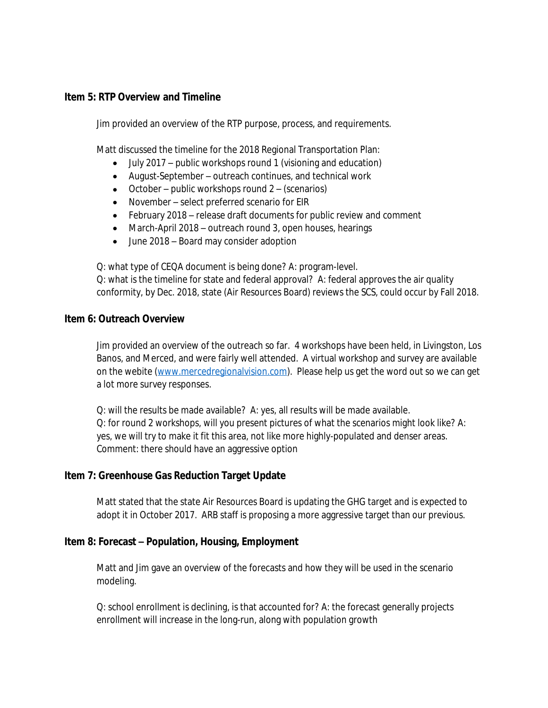## **Item 5: RTP Overview and Timeline**

Jim provided an overview of the RTP purpose, process, and requirements.

Matt discussed the timeline for the 2018 Regional Transportation Plan:

- July 2017 public workshops round 1 (visioning and education)
- August-September outreach continues, and technical work
- $\bullet$  October public workshops round 2 (scenarios)
- November select preferred scenario for EIR
- February 2018 release draft documents for public review and comment
- March-April 2018 outreach round 3, open houses, hearings
- June 2018 Board may consider adoption

Q: what type of CEQA document is being done? A: program-level.

Q: what is the timeline for state and federal approval? A: federal approves the air quality conformity, by Dec. 2018, state (Air Resources Board) reviews the SCS, could occur by Fall 2018.

### **Item 6: Outreach Overview**

Jim provided an overview of the outreach so far. 4 workshops have been held, in Livingston, Los Banos, and Merced, and were fairly well attended. A virtual workshop and survey are available on the webite [\(www.mercedregionalvision.com\)](http://www.mercedregionalvision.com). Please help us get the word out so we can get a lot more survey responses.

Q: will the results be made available? A: yes, all results will be made available. Q: for round 2 workshops, will you present pictures of what the scenarios might look like? A: yes, we will try to make it fit this area, not like more highly-populated and denser areas. Comment: there should have an aggressive option

# **Item 7: Greenhouse Gas Reduction Target Update**

Matt stated that the state Air Resources Board is updating the GHG target and is expected to adopt it in October 2017. ARB staff is proposing a more aggressive target than our previous.

# **Item 8: Forecast – Population, Housing, Employment**

Matt and Jim gave an overview of the forecasts and how they will be used in the scenario modeling.

Q: school enrollment is declining, is that accounted for? A: the forecast generally projects enrollment will increase in the long-run, along with population growth